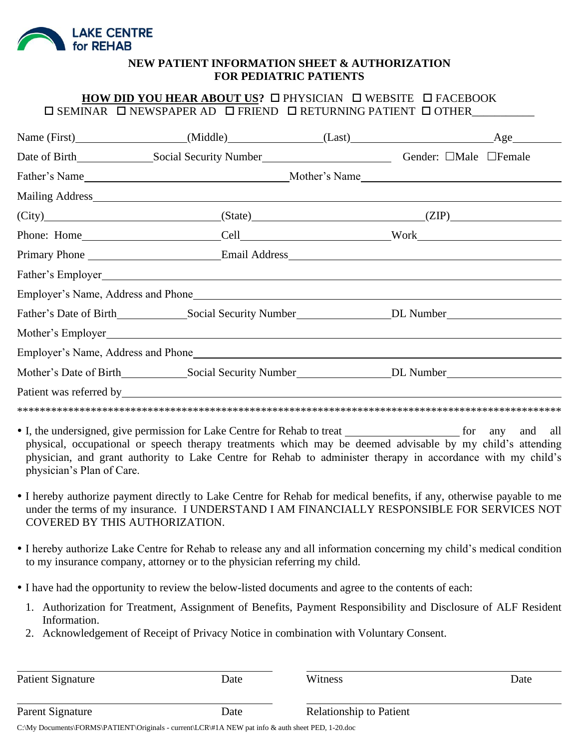

### **NEW PATIENT INFORMATION SHEET & AUTHORIZATION FOR PEDIATRIC PATIENTS**

## HOW DID YOU HEAR ABOUT US? **O PHYSICIAN O WEBSITE O FACEBOOK**  $\square$  SEMINAR  $\square$  NEWSPAPER AD  $\square$  FRIEND  $\square$  RETURNING PATIENT  $\square$  OTHER

|  |                   |  | $(City)$ $(ZIP)$ $(ZIP)$ |  |  |
|--|-------------------|--|--------------------------|--|--|
|  |                   |  |                          |  |  |
|  |                   |  |                          |  |  |
|  | Father's Employer |  |                          |  |  |
|  |                   |  |                          |  |  |
|  |                   |  |                          |  |  |
|  |                   |  |                          |  |  |
|  |                   |  |                          |  |  |
|  |                   |  |                          |  |  |
|  |                   |  |                          |  |  |
|  |                   |  |                          |  |  |

- I, the undersigned, give permission for Lake Centre for Rehab to treat <u>for any</u> for any and all physical, occupational or speech therapy treatments which may be deemed advisable by my child's attending physician, and grant authority to Lake Centre for Rehab to administer therapy in accordance with my child's physician's Plan of Care.
- I hereby authorize payment directly to Lake Centre for Rehab for medical benefits, if any, otherwise payable to me under the terms of my insurance. I UNDERSTAND I AM FINANCIALLY RESPONSIBLE FOR SERVICES NOT COVERED BY THIS AUTHORIZATION.
- I hereby authorize Lake Centre for Rehab to release any and all information concerning my child's medical condition to my insurance company, attorney or to the physician referring my child.
- I have had the opportunity to review the below-listed documents and agree to the contents of each:
	- 1. Authorization for Treatment, Assignment of Benefits, Payment Responsibility and Disclosure of ALF Resident Information.
	- 2. Acknowledgement of Receipt of Privacy Notice in combination with Voluntary Consent.

| Patient Signature | Date | Witness                        | Date |
|-------------------|------|--------------------------------|------|
|                   |      |                                |      |
| Parent Signature  | Date | <b>Relationship to Patient</b> |      |

C:\My Documents\FORMS\PATIENT\Originals - current\LCR\#1A NEW pat info & auth sheet PED, 1-20.doc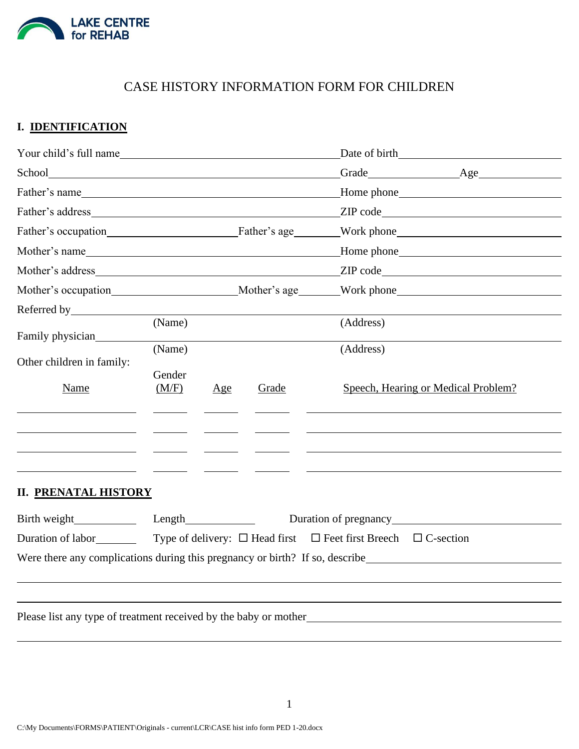

# CASE HISTORY INFORMATION FORM FOR CHILDREN

## **I. IDENTIFICATION**

| Your child's full name                                                                                                                                                                                                         |                           |     |       | Date of birth                                                                                                                                                                                                                                                               |
|--------------------------------------------------------------------------------------------------------------------------------------------------------------------------------------------------------------------------------|---------------------------|-----|-------|-----------------------------------------------------------------------------------------------------------------------------------------------------------------------------------------------------------------------------------------------------------------------------|
|                                                                                                                                                                                                                                |                           |     |       |                                                                                                                                                                                                                                                                             |
|                                                                                                                                                                                                                                |                           |     |       | Father's name <b>Example 26</b> Home phone <b>Example 26</b> Home phone <b>Example 26</b> Home phone <b>Example 26</b> Home phone <b>Example 26</b> Home phone <b>Example 26</b> Home phone <b>Example 26</b> Home phone <b>Example 26</b> Home phone <b>Example 26</b> Hom |
|                                                                                                                                                                                                                                |                           |     |       |                                                                                                                                                                                                                                                                             |
|                                                                                                                                                                                                                                |                           |     |       |                                                                                                                                                                                                                                                                             |
|                                                                                                                                                                                                                                |                           |     |       | Mother's name <b>Mother's name</b> Mother's name <b>Mother's name Mother's name Mother's name Mother's name Mother's name Mother's name Mother's name Mother's name Mother's name Mother's name Mother's name M</b>                                                         |
|                                                                                                                                                                                                                                |                           |     |       | Mother's address TIP code                                                                                                                                                                                                                                                   |
|                                                                                                                                                                                                                                |                           |     |       |                                                                                                                                                                                                                                                                             |
| Referred by Santa Communication of the Second Second Second Second Second Second Second Second Second Second Second Second Second Second Second Second Second Second Second Second Second Second Second Second Second Second S |                           |     |       |                                                                                                                                                                                                                                                                             |
| Family physician                                                                                                                                                                                                               | (Name)                    |     |       | (Address)                                                                                                                                                                                                                                                                   |
| Other children in family:<br>Name                                                                                                                                                                                              | (Name)<br>Gender<br>(M/F) | Age | Grade | (Address)<br>Speech, Hearing or Medical Problem?                                                                                                                                                                                                                            |
| <b>II. PRENATAL HISTORY</b>                                                                                                                                                                                                    |                           |     |       | Duration of pregnancy<br>Were there any complications during this pregnancy or birth? If so, describe                                                                                                                                                                       |

Please list any type of treatment received by the baby or mother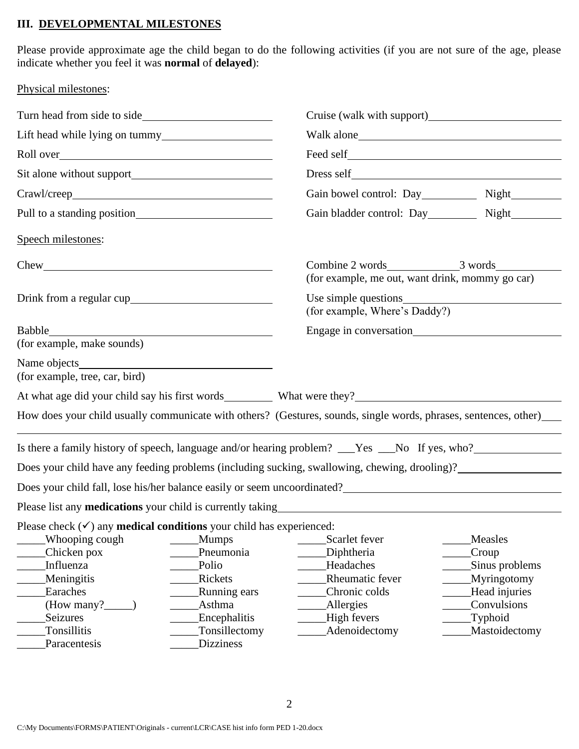### **III. DEVELOPMENTAL MILESTONES**

Physical milestones:

Please provide approximate age the child began to do the following activities (if you are not sure of the age, please indicate whether you feel it was **normal** of **delayed**):

| Turn head from side to side                                                                                                                                                 |                                                                         | Cruise (walk with support)                                                                                                                                                                                                       |                                                                                                 |  |  |
|-----------------------------------------------------------------------------------------------------------------------------------------------------------------------------|-------------------------------------------------------------------------|----------------------------------------------------------------------------------------------------------------------------------------------------------------------------------------------------------------------------------|-------------------------------------------------------------------------------------------------|--|--|
|                                                                                                                                                                             |                                                                         |                                                                                                                                                                                                                                  |                                                                                                 |  |  |
|                                                                                                                                                                             |                                                                         |                                                                                                                                                                                                                                  |                                                                                                 |  |  |
|                                                                                                                                                                             |                                                                         |                                                                                                                                                                                                                                  |                                                                                                 |  |  |
|                                                                                                                                                                             |                                                                         | Gain bowel control: Day Night                                                                                                                                                                                                    |                                                                                                 |  |  |
|                                                                                                                                                                             |                                                                         | Gain bladder control: Day__________ Night__________                                                                                                                                                                              |                                                                                                 |  |  |
| Speech milestones:                                                                                                                                                          |                                                                         |                                                                                                                                                                                                                                  |                                                                                                 |  |  |
|                                                                                                                                                                             |                                                                         | Combine 2 words 3 words 3 words<br>(for example, me out, want drink, mommy go car)                                                                                                                                               |                                                                                                 |  |  |
|                                                                                                                                                                             |                                                                         | (for example, Where's Daddy?)                                                                                                                                                                                                    |                                                                                                 |  |  |
| (for example, make sounds)                                                                                                                                                  | <u> 1980 - Johann Barn, mars ann an t-</u>                              |                                                                                                                                                                                                                                  |                                                                                                 |  |  |
| (for example, tree, car, bird)                                                                                                                                              |                                                                         |                                                                                                                                                                                                                                  |                                                                                                 |  |  |
|                                                                                                                                                                             |                                                                         | At what age did your child say his first words What were they?                                                                                                                                                                   |                                                                                                 |  |  |
|                                                                                                                                                                             |                                                                         | How does your child usually communicate with others? (Gestures, sounds, single words, phrases, sentences, other)                                                                                                                 |                                                                                                 |  |  |
|                                                                                                                                                                             |                                                                         | Is there a family history of speech, language and/or hearing problem? ___Yes ___No If yes, who?_______________                                                                                                                   |                                                                                                 |  |  |
|                                                                                                                                                                             |                                                                         | Does your child have any feeding problems (including sucking, swallowing, chewing, drooling)?_________________                                                                                                                   |                                                                                                 |  |  |
|                                                                                                                                                                             |                                                                         | Does your child fall, lose his/her balance easily or seem uncoordinated?<br>The second state of the second state of the second state of the second state of the second state of the second state of the second state of the seco |                                                                                                 |  |  |
|                                                                                                                                                                             |                                                                         |                                                                                                                                                                                                                                  |                                                                                                 |  |  |
| Please check $(\checkmark)$ any <b>medical conditions</b> your child has experienced:<br>Whooping cough<br>Chicken pox<br>Influenza<br>Meningitis<br>Earaches<br>(How many? | <b>Mumps</b><br>Pneumonia<br>Polio<br>Rickets<br>Running ears<br>Asthma | Scarlet fever<br>Diphtheria<br>Headaches<br>Rheumatic fever<br>Chronic colds<br><b>Allergies</b>                                                                                                                                 | Measles<br>Croup<br>Sinus problems<br><b>Myringotomy</b><br>Head injuries<br><b>Convulsions</b> |  |  |
| Seizures                                                                                                                                                                    | Encephalitis                                                            | High fevers                                                                                                                                                                                                                      | Typhoid                                                                                         |  |  |
| Tonsillitis<br>Paracentesis                                                                                                                                                 | Tonsillectomy<br><b>Dizziness</b>                                       | Adenoidectomy                                                                                                                                                                                                                    | Mastoidectomy                                                                                   |  |  |